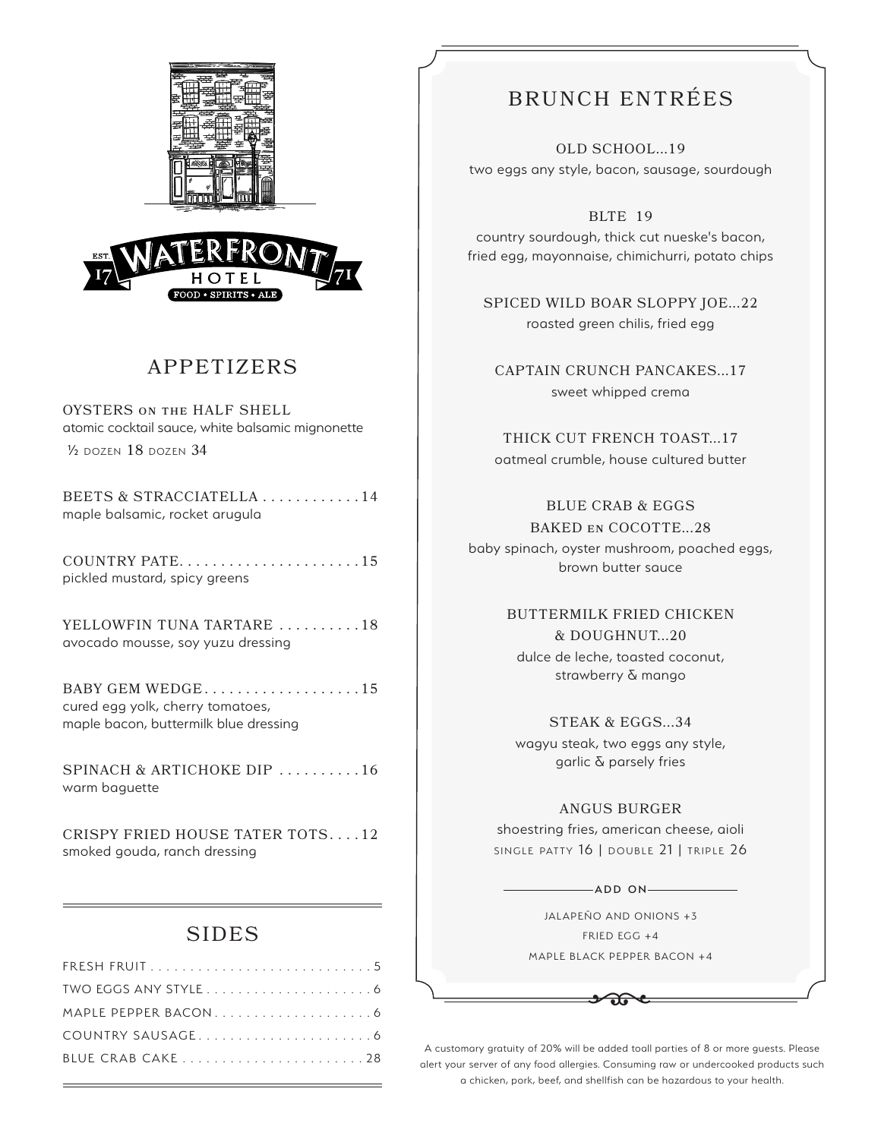



# APPETIZERS

OYSTERS on the HALF SHELL atomic cocktail sauce, white balsamic mignonette ½ dozen 18 dozen 34

BEETS & STRACCIATELLA . . . . . . . . . . . 14 maple balsamic, rocket arugula

COUNTRY PATE . . . . . . . . . . . . . . . . . . . . . 15 pickled mustard, spicy greens

YELLOWFIN TUNA TARTARE ..........18 avocado mousse, soy yuzu dressing

BABY GEM WEDGE..................15 cured egg yolk, cherry tomatoes, maple bacon, buttermilk blue dressing

SPINACH & ARTICHOKE DIP .........16 warm baguette

CRISPY FRIED HOUSE TATER TOTS . . . 12 smoked gouda, ranch dressing

## SIDES

# BRUNCH ENTRÉES

OLD SCHOOL...19 two eggs any style, bacon, sausage, sourdough

BLTE 19

country sourdough, thick cut nueske's bacon, fried egg, mayonnaise, chimichurri, potato chips

SPICED WILD BOAR SLOPPY JOE...22 roasted green chilis, fried egg

CAPTAIN CRUNCH PANCAKES...17 sweet whipped crema

THICK CUT FRENCH TOAST...17 oatmeal crumble, house cultured butter

BLUE CRAB & EGGS

BAKED en COCOTTE...28 baby spinach, oyster mushroom, poached eggs, brown butter sauce

> BUTTERMILK FRIED CHICKEN & DOUGHNUT...20 dulce de leche, toasted coconut, strawberry & mango

STEAK & EGGS...34 wagyu steak, two eggs any style, garlic & parsely fries

## ANGUS BURGER

shoestring fries, american cheese, aioli SINGLE PATTY 16 | DOUBLE 21 | TRIPLE 26

 $\longrightarrow$ ADD ON $\longrightarrow$ 

JALAPEÑO AND ONIONS +3 FRIED EGG +4 MAPLE BLACK PEPPER BACON +4

A customary gratuity of 20% will be added toall parties of 8 or more guests. Please alert your server of any food allergies. Consuming raw or undercooked products such a chicken, pork, beef, and shellfish can be hazardous to your health.

 $\rightarrow 0$